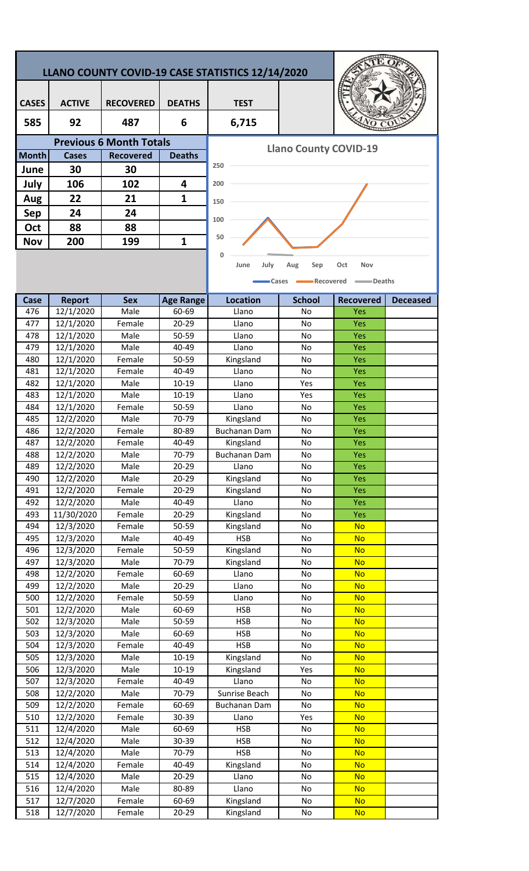## **LLANO COUNTY COVID-19 CASE STATISTICS 12/14/2020**

| <b>CASES</b> | <b>ACTIVE</b> | <b>RECOVERED</b>               | <b>DEATHS</b> | <b>TEST</b> |
|--------------|---------------|--------------------------------|---------------|-------------|
| 585          | 92            | 487                            | 6             | 6,715       |
|              |               | <b>Previous 6 Month Totals</b> |               |             |
| <b>Month</b> | <b>Cases</b>  | <b>Recovered</b>               | <b>Deaths</b> |             |
| June         | 30            | 30                             |               | 250         |
| July         | 106           | 102                            | 4             | 200         |
| Aug          | 22            | 21                             | 1             | 150         |
| Sep          | 24            | 24                             |               | 100         |
| Oct          | 88            | 88                             |               |             |
| <b>Nov</b>   | 200           | 199                            | 1             | 50          |



**Llano County COVID-19** 



| Case | <b>Report</b>        | <b>Sex</b> | <b>Age Range</b> | <b>Location</b>     | <b>School</b> | <b>Recovered</b> | <b>Deceased</b> |
|------|----------------------|------------|------------------|---------------------|---------------|------------------|-----------------|
| 476  | 12/1/2020            | Male       | 60-69            | Llano               | No.           | Yes              |                 |
| 477  | 12/1/2020            | Female     | 20-29            | Llano               | No            | Yes              |                 |
| 478  | 12/1/2020            | Male       | 50-59            | Llano               | No            | Yes              |                 |
| 479  | 12/1/2020            | Male       | 40-49            | Llano               | No            | Yes              |                 |
| 480  | 12/1/2020            | Female     | 50-59            | Kingsland           | No            | Yes              |                 |
| 481  | 12/1/2020            | Female     | 40-49            | Llano               | No            | Yes              |                 |
| 482  | 12/1/2020            | Male       | $10 - 19$        | Llano               | Yes           | Yes              |                 |
| 483  | 12/1/2020            | Male       | $10 - 19$        | Llano               | Yes           | Yes              |                 |
| 484  | 12/1/2020            | Female     | 50-59            | Llano               | No            | Yes              |                 |
| 485  | 12/2/2020            | Male       | 70-79            | Kingsland           | No            | Yes              |                 |
| 486  | 12/2/2020            | Female     | 80-89            | Buchanan Dam        | No            | Yes              |                 |
| 487  | 12/2/2020            | Female     | 40-49            | Kingsland           | No            | Yes              |                 |
| 488  | 12/2/2020            | Male       | 70-79            | <b>Buchanan Dam</b> | No            | Yes              |                 |
| 489  | 12/2/2020            | Male       | 20-29            | Llano               | No            | Yes              |                 |
| 490  | 12/2/2020            | Male       | $20 - 29$        | Kingsland           | No            | Yes              |                 |
| 491  | 12/2/2020            | Female     | $20 - 29$        | Kingsland           | No            | Yes              |                 |
| 492  | 12/2/2020            | Male       | 40-49            | Llano               | No            | Yes              |                 |
| 493  | 11/30/2020           | Female     | 20-29            | Kingsland           | No            | Yes              |                 |
| 494  | 12/3/2020            | Female     | 50-59            | Kingsland           | No            | <b>No</b>        |                 |
| 495  | 12/3/2020            | Male       | 40-49            | <b>HSB</b>          | No            | <b>No</b>        |                 |
| 496  | 12/3/2020            | Female     | 50-59            | Kingsland           | No            | <b>No</b>        |                 |
| 497  | 12/3/2020            | Male       | 70-79            | Kingsland           | No            | <b>No</b>        |                 |
| 498  | 12/2/2020            | Female     | 60-69            | Llano               | No            | <b>No</b>        |                 |
| 499  | 12/2/2020            | Male       | $20 - 29$        | Llano               | No            | <b>No</b>        |                 |
| 500  | 12/2/2020            | Female     | 50-59            | Llano               | No            | <b>No</b>        |                 |
| 501  | 12/2/2020            | Male       | 60-69            | <b>HSB</b>          | No            | <b>No</b>        |                 |
| 502  | 12/3/2020            | Male       | 50-59            | <b>HSB</b>          | No            | <b>No</b>        |                 |
| 503  | 12/3/2020            | Male       | 60-69            | <b>HSB</b>          | No            | <b>No</b>        |                 |
| 504  | 12/3/2020            | Female     | 40-49            | <b>HSB</b>          | No            | <b>No</b>        |                 |
| 505  | 12/3/2020            | Male       | $10 - 19$        | Kingsland           | No            | <b>No</b>        |                 |
| 506  | 12/3/2020            | Male       | 10-19            | Kingsland           | Yes           | <b>No</b>        |                 |
| 507  | 12/3/2020            | Female     | 40-49            | Llano               | No            | <b>No</b>        |                 |
| 508  | 12/2/2020            | Male       | 70-79            | Sunrise Beach       | No            | <b>No</b>        |                 |
| 509  | 12/2/2020            | Female     | 60-69            | Buchanan Dam        | No            | <b>No</b>        |                 |
| 510  | 12/2/2020            | Female     | 30-39            | Llano               | Yes           | <b>No</b>        |                 |
| 511  | 12/4/2020            | Male       | 60-69            | <b>HSB</b>          | No            | <b>No</b>        |                 |
| 512  | $\frac{1}{2}/4/2020$ | Male       | 30-39            | <b>HSB</b>          | No            | <b>No</b>        |                 |
| 513  | 12/4/2020            | Male       | 70-79            | <b>HSB</b>          | No            | <b>No</b>        |                 |
| 514  | 12/4/2020            | Female     | 40-49            | Kingsland           | No            | <b>No</b>        |                 |
| 515  | 12/4/2020            | Male       | 20-29            | Llano               | No            | <b>No</b>        |                 |
| 516  | 12/4/2020            | Male       | 80-89            | Llano               | No            | <b>No</b>        |                 |
| 517  | 12/7/2020            | Female     | 60-69            | Kingsland           | No            | <b>No</b>        |                 |
| 518  | 12/7/2020            | Female     | 20-29            | Kingsland           | No            | <b>No</b>        |                 |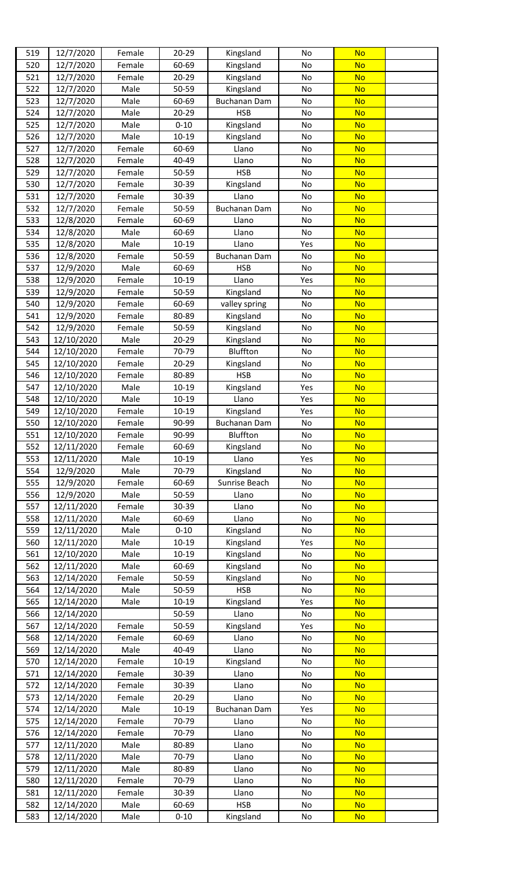| 519        | 12/7/2020                | Female           | 20-29              | Kingsland                  | No        | <b>No</b>              |  |
|------------|--------------------------|------------------|--------------------|----------------------------|-----------|------------------------|--|
| 520        | 12/7/2020                | Female           | 60-69              | Kingsland                  | No        | <b>No</b>              |  |
| 521        | 12/7/2020                | Female           | 20-29              | Kingsland                  | No        | <b>No</b>              |  |
| 522        | 12/7/2020                | Male             | 50-59              | Kingsland                  | No        | <b>No</b>              |  |
| 523        | 12/7/2020                | Male             | 60-69              | Buchanan Dam               | No        | <b>No</b>              |  |
| 524        | 12/7/2020                | Male             | 20-29              | <b>HSB</b>                 | No        | <b>No</b>              |  |
| 525        | 12/7/2020                | Male             | $0 - 10$           | Kingsland                  | No        | <b>No</b>              |  |
| 526        | 12/7/2020                | Male             | $10 - 19$          | Kingsland                  | No        | <b>No</b>              |  |
| 527        | 12/7/2020                | Female           | 60-69              | Llano                      | No        | <b>No</b>              |  |
| 528        | 12/7/2020                | Female           | 40-49              | Llano                      | No        | <b>No</b>              |  |
| 529        | 12/7/2020                | Female           | 50-59              | <b>HSB</b>                 | No        | <b>No</b>              |  |
| 530        | 12/7/2020                | Female           | 30-39              | Kingsland                  | No        | <b>No</b>              |  |
| 531        | 12/7/2020                | Female           | 30-39              | Llano                      | No        | <b>No</b>              |  |
| 532        | 12/7/2020                | Female           | 50-59              | <b>Buchanan Dam</b>        | No        | <b>No</b>              |  |
| 533        | 12/8/2020                | Female           | 60-69              | Llano                      | No        | <b>No</b>              |  |
| 534        | 12/8/2020                | Male             | 60-69              | Llano                      | No        | <b>No</b>              |  |
| 535        | 12/8/2020                | Male             | $10 - 19$          | Llano                      | Yes       | <b>No</b>              |  |
| 536        | 12/8/2020                | Female           | 50-59              | <b>Buchanan Dam</b>        | No        | <b>No</b>              |  |
| 537        | 12/9/2020                | Male             | 60-69              | <b>HSB</b>                 | No        | <b>No</b>              |  |
| 538<br>539 | 12/9/2020<br>12/9/2020   | Female<br>Female | 10-19<br>50-59     | Llano                      | Yes<br>No | <b>No</b><br><b>No</b> |  |
| 540        | 12/9/2020                | Female           | 60-69              | Kingsland                  | No        | <b>No</b>              |  |
| 541        | 12/9/2020                | Female           | 80-89              | valley spring<br>Kingsland | No        | <b>No</b>              |  |
| 542        | 12/9/2020                | Female           | 50-59              | Kingsland                  | No        | <b>No</b>              |  |
| 543        | 12/10/2020               | Male             | $20 - 29$          | Kingsland                  | No        | <b>No</b>              |  |
| 544        | 12/10/2020               | Female           | 70-79              | Bluffton                   | No        | <b>No</b>              |  |
| 545        | 12/10/2020               | Female           | $20 - 29$          | Kingsland                  | No        | <b>No</b>              |  |
| 546        | 12/10/2020               | Female           | 80-89              | <b>HSB</b>                 | No        | <b>No</b>              |  |
| 547        | 12/10/2020               | Male             | $10 - 19$          | Kingsland                  | Yes       | <b>No</b>              |  |
| 548        | 12/10/2020               | Male             | 10-19              | Llano                      | Yes       | <b>No</b>              |  |
| 549        | 12/10/2020               | Female           | $10 - 19$          | Kingsland                  | Yes       | <b>No</b>              |  |
| 550        | 12/10/2020               | Female           | 90-99              | Buchanan Dam               | No        | <b>No</b>              |  |
| 551        | 12/10/2020               | Female           | 90-99              | Bluffton                   | No        | <b>No</b>              |  |
| 552        | 12/11/2020               | Female           | 60-69              | Kingsland                  | No        | <b>No</b>              |  |
| 553        | 12/11/2020               | Male             | $10 - 19$          | Llano                      | Yes       | <b>No</b>              |  |
| 554        | 12/9/2020                | Male             | 70-79              | Kingsland                  | No        | <b>No</b>              |  |
| 555        | 12/9/2020                | Female           | 60-69              | Sunrise Beach              | No        | <b>No</b>              |  |
| 556        | 12/9/2020                | Male             | 50-59              | Llano                      | No        | <b>No</b>              |  |
| 557        | 12/11/2020               | Female           | 30-39              | Llano                      | No        | <b>No</b>              |  |
| 558        | 12/11/2020               | Male             | 60-69              | Llano                      | No        | <b>No</b>              |  |
| 559        | 12/11/2020               | Male             | $0 - 10$           | Kingsland                  | No        | <b>No</b>              |  |
| 560        | 12/11/2020               | Male             | $10 - 19$          | Kingsland                  | Yes       | <b>No</b>              |  |
| 561        | 12/10/2020               | Male             | 10-19              | Kingsland                  | No        | <b>No</b>              |  |
| 562        | 12/11/2020               | Male             | 60-69              | Kingsland                  | No        | <b>No</b>              |  |
| 563        | 12/14/2020               | Female           | 50-59              | Kingsland                  | No        | <b>No</b>              |  |
| 564        | 12/14/2020               | Male             | 50-59              | <b>HSB</b>                 | No        | <b>No</b>              |  |
| 565        | 12/14/2020               | Male             | 10-19              | Kingsland                  | Yes       | <b>No</b>              |  |
| 566        | 12/14/2020               |                  | 50-59              | Llano                      | No        | <b>No</b>              |  |
| 567        | 12/14/2020               | Female           | 50-59              | Kingsland                  | Yes       | <b>No</b>              |  |
| 568        | 12/14/2020               | Female           | 60-69              | Llano                      | No        | <b>No</b>              |  |
| 569<br>570 | 12/14/2020               | Male<br>Female   | 40-49<br>$10 - 19$ | Llano                      | No<br>No  | <b>No</b><br><b>No</b> |  |
|            | 12/14/2020               |                  |                    | Kingsland                  |           |                        |  |
| 571        | 12/14/2020               | Female<br>Female | 30-39<br>30-39     | Llano                      | No        | <b>No</b><br><b>No</b> |  |
| 572<br>573 | 12/14/2020<br>12/14/2020 | Female           | $20 - 29$          | Llano<br>Llano             | No<br>No  | <b>No</b>              |  |
| 574        | 12/14/2020               | Male             | $10 - 19$          | Buchanan Dam               | Yes       | <b>No</b>              |  |
| 575        | 12/14/2020               | Female           | 70-79              | Llano                      | No        | <b>No</b>              |  |
| 576        | 12/14/2020               | Female           | 70-79              | Llano                      | No        | <b>No</b>              |  |
| 577        | 12/11/2020               | Male             | 80-89              | Llano                      | No        | <b>No</b>              |  |
| 578        | 12/11/2020               | Male             | 70-79              | Llano                      | No        | <b>No</b>              |  |
| 579        | 12/11/2020               | Male             | 80-89              | Llano                      | No        | <b>No</b>              |  |
| 580        | 12/11/2020               | Female           | 70-79              | Llano                      | No        | <b>No</b>              |  |
| 581        | 12/11/2020               | Female           | 30-39              | Llano                      | No        | <b>No</b>              |  |
| 582        | 12/14/2020               | Male             | 60-69              | <b>HSB</b>                 | No        | <b>No</b>              |  |
| 583        | 12/14/2020               | Male             | $0 - 10$           | Kingsland                  | No        | <b>No</b>              |  |
|            |                          |                  |                    |                            |           |                        |  |